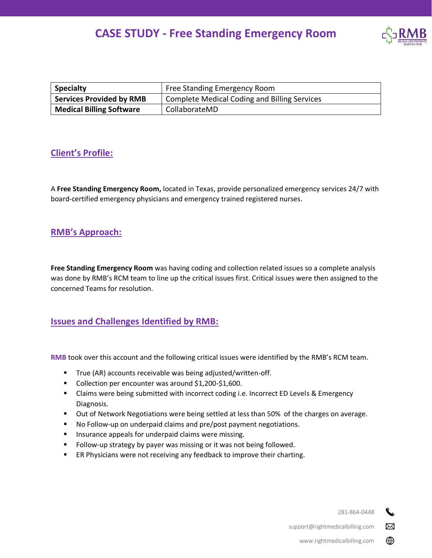

| <b>Specialty</b>                | Free Standing Emergency Room                        |
|---------------------------------|-----------------------------------------------------|
| <b>Services Provided by RMB</b> | <b>Complete Medical Coding and Billing Services</b> |
| <b>Medical Billing Software</b> | CollaborateMD                                       |

## **Client's Profile:**

A **Free Standing Emergency Room,** located in Texas, provide personalized emergency services 24/7 with board-certified emergency physicians and emergency trained registered nurses.

## **RMB's Approach:**

**Free Standing Emergency Room** was having coding and collection related issues so a complete analysis was done by RMB's RCM team to line up the critical issues first. Critical issues were then assigned to the concerned Teams for resolution.

### **Issues and Challenges Identified by RMB:**

**RMB** took over this account and the following critical issues were identified by the RMB's RCM team.

- True (AR) accounts receivable was being adjusted/written-off.
- Collection per encounter was around \$1,200-\$1,600.
- Claims were being submitted with incorrect coding i.e. Incorrect ED Levels & Emergency Diagnosis.
- Out of Network Negotiations were being settled at less than 50% of the charges on average.
- No Follow-up on underpaid claims and pre/post payment negotiations.
- **■** Insurance appeals for underpaid claims were missing.
- Follow-up strategy by payer was missing or it was not being followed.
- ER Physicians were not receiving any feedback to improve their charting.

281-864-0448

 $\boxtimes$ 

⊕

support@rightmedicalbilling.com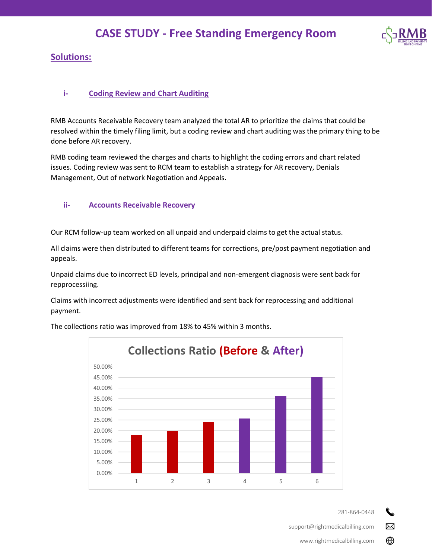

## **Solutions:**

#### **i- Coding Review and Chart Auditing**

RMB Accounts Receivable Recovery team analyzed the total AR to prioritize the claims that could be resolved within the timely filing limit, but a coding review and chart auditing was the primary thing to be done before AR recovery.

RMB coding team reviewed the charges and charts to highlight the coding errors and chart related issues. Coding review was sent to RCM team to establish a strategy for AR recovery, Denials Management, Out of network Negotiation and Appeals.

#### **ii- Accounts Receivable Recovery**

Our RCM follow-up team worked on all unpaid and underpaid claims to get the actual status.

All claims were then distributed to different teams for corrections, pre/post payment negotiation and appeals.

Unpaid claims due to incorrect ED levels, principal and non-emergent diagnosis were sent back for repprocessiing.

Claims with incorrect adjustments were identified and sent back for reprocessing and additional payment.



The collections ratio was improved from 18% to 45% within 3 months.

281-864-0448

 $\boxtimes$ 

⊕

support@rightmedicalbilling.com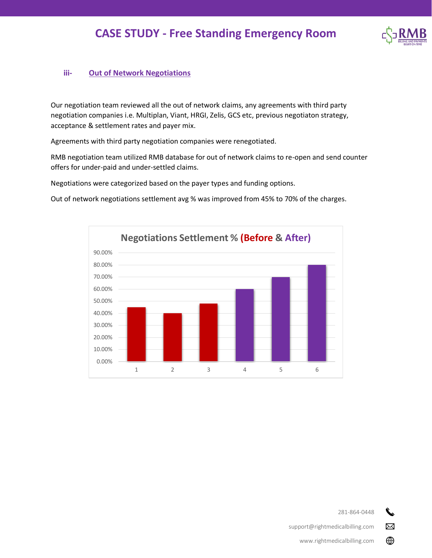

### **iii- Out of Network Negotiations**

Our negotiation team reviewed all the out of network claims, any agreements with third party negotiation companies i.e. Multiplan, Viant, HRGI, Zelis, GCS etc, previous negotiaton strategy, acceptance & settlement rates and payer mix.

Agreements with third party negotiation companies were renegotiated.

RMB negotiation team utilized RMB database for out of network claims to re-open and send counter offers for under-paid and under-settled claims.

Negotiations were categorized based on the payer types and funding options.

Out of network negotiations settlement avg % was improved from 45% to 70% of the charges.





 $\boxtimes$ 

⊕

support@rightmedicalbilling.com

www.rightmedicalbilling.com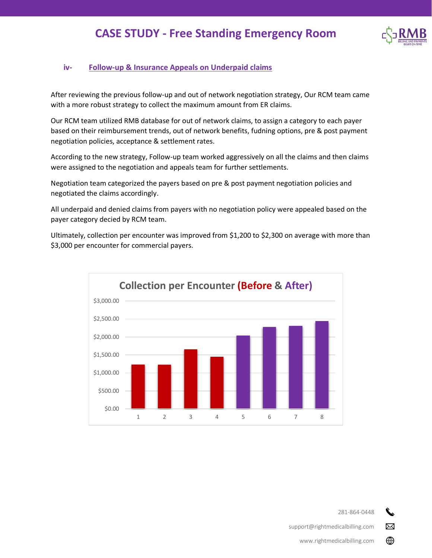

### **iv- Follow-up & Insurance Appeals on Underpaid claims**

After reviewing the previous follow-up and out of network negotiation strategy, Our RCM team came with a more robust strategy to collect the maximum amount from ER claims.

Our RCM team utilized RMB database for out of network claims, to assign a category to each payer based on their reimbursement trends, out of network benefits, fudning options, pre & post payment negotiation policies, acceptance & settlement rates.

According to the new strategy, Follow-up team worked aggressively on all the claims and then claims were assigned to the negotiation and appeals team for further settlements.

Negotiation team categorized the payers based on pre & post payment negotiation policies and negotiated the claims accordingly.

All underpaid and denied claims from payers with no negotiation policy were appealed based on the payer category decied by RCM team.

Ultimately, collection per encounter was improved from \$1,200 to \$2,300 on average with more than \$3,000 per encounter for commercial payers.